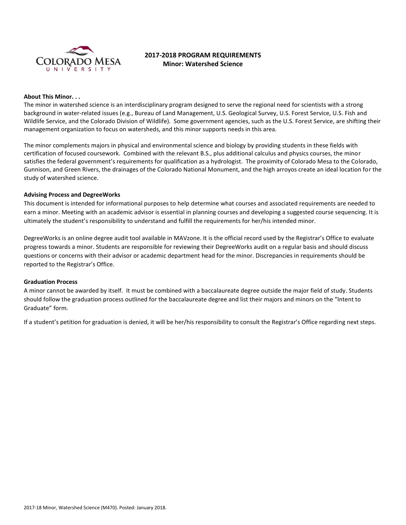

# **2017-2018 PROGRAM REQUIREMENTS Minor: Watershed Science**

#### **About This Minor. . .**

The minor in watershed science is an interdisciplinary program designed to serve the regional need for scientists with a strong background in water-related issues (e.g., Bureau of Land Management, U.S. Geological Survey, U.S. Forest Service, U.S. Fish and Wildlife Service, and the Colorado Division of Wildlife). Some government agencies, such as the U.S. Forest Service, are shifting their management organization to focus on watersheds, and this minor supports needs in this area.

The minor complements majors in physical and environmental science and biology by providing students in these fields with certification of focused coursework. Combined with the relevant B.S., plus additional calculus and physics courses, the minor satisfies the federal government's requirements for qualification as a hydrologist. The proximity of Colorado Mesa to the Colorado, Gunnison, and Green Rivers, the drainages of the Colorado National Monument, and the high arroyos create an ideal location for the study of watershed science.

#### **Advising Process and DegreeWorks**

This document is intended for informational purposes to help determine what courses and associated requirements are needed to earn a minor. Meeting with an academic advisor is essential in planning courses and developing a suggested course sequencing. It is ultimately the student's responsibility to understand and fulfill the requirements for her/his intended minor.

DegreeWorks is an online degree audit tool available in MAVzone. It is the official record used by the Registrar's Office to evaluate progress towards a minor. Students are responsible for reviewing their DegreeWorks audit on a regular basis and should discuss questions or concerns with their advisor or academic department head for the minor. Discrepancies in requirements should be reported to the Registrar's Office.

### **Graduation Process**

A minor cannot be awarded by itself. It must be combined with a baccalaureate degree outside the major field of study. Students should follow the graduation process outlined for the baccalaureate degree and list their majors and minors on the "Intent to Graduate" form.

If a student's petition for graduation is denied, it will be her/his responsibility to consult the Registrar's Office regarding next steps.